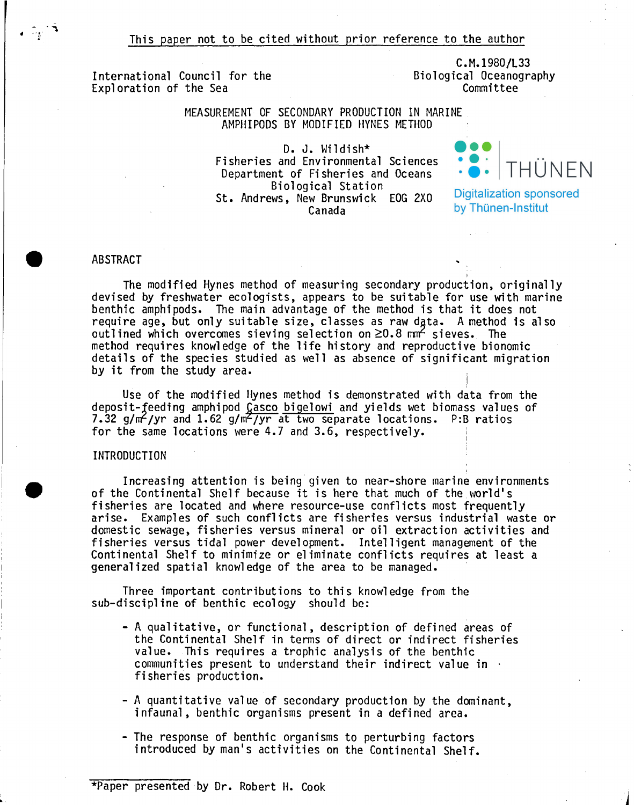This paper not to be cited without prior reference to the author

International Council for the Exploration of the Sea

C.M.1980/L33 Biological Oceanography Committee

i

MEASUREMENT OF SECONDARY PRODUCTION IN MARINE AMPHIPODS BY MODIFIED IlYNES METIIOD

> D. J. Wildish\* Fisheries and Environmental Sciences Department of Fisheries and Oceans Biological Station St. Andrews, New Brunswick EOG 2XO Canada



**Digitalization sponsored** by Thünen-Institut

## **ABSTRACT**

The modified Hynes method of measuring secondary production, originally devised by freshwater ecologists, appears to be suitable for use with marine benthic amphipods. The main advantage of the method is that it does not require age, but only suitable size, classes as raw data. A method is also outlined which overcomes sieving selection on  $\geq 0.8$  mm<sup>2</sup> sieves. The method requires knowledge of the life history and reproductive bionomie details of the species studied as well as absence of significant migration by it from the study area.

Use of the modified Hynes method is demonstrated with data from the deposit-feeding amphipod Casco bigelowi and yields wet biomass values of 7.32 g/ $m^2$ /yr and 1.62 g/ $m^2$ /yr at two separate locations. P:B ratios for the same locations were 4.7 and 3.6, respectively.

# INTRODUCTION

Increasing attention is being given to near-shore marine environments of the Continental Shelf because it is here that much of the world's fisheries are located and where resource-use conflicts most frequently arise. Examples of such conflicts are fisheries versus industrial waste or domestic sewage, fisheries versus mineral or oil extraction activities and fisheries versus tidal power development. Intelligent management of the Continental Shelf to minimize or eliminate conflicts requires at least a generalized spatial knowledge of the area to be managed. .

Three important contributions to this knowledge from the sub-discipline of benthic ecology should be:

- A qualitative, or functional, description of defined areas of the Continental Shelf in terms of direct or indirect fisheries value. This requires a trophic analysis of the benthic communities present to understand their indirect value in . fisheries production.
- A quantitative value of secondary production by the dominant, infaunal, benthic organisms present in a defined area.
- The response of benthic organisms to perturbing factors introduced by man's activities on the Continental Shelf.

<sup>\*</sup>Paper presented by Dr. Robert H. Cook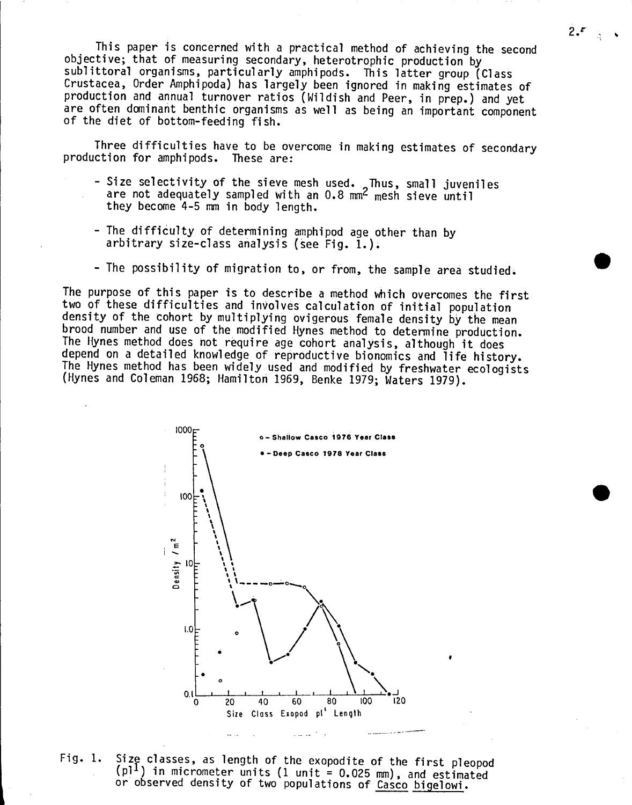This paper is concerned with a practical method of achieving the second objective; that of measuring secondary, heterotrophic production by sublittoral organisms, particularly amphipods. This latter group (Class Crustaeea, Order Amphipoda) has largely been ignored in making estimates of production and annual turnover ratios (Wildish and Peer, in prep.) and yet are often dominant benthic organisms as well as being an important component of the diet of bottom-feeding fish.

Three difficulties have to be overcome in making estimates of secondary production for amphipods. These are:

- Size selectivity of the sieve mesh used. Thus, small juveniles are not adequately sampled with an  $0.8$  mm<sup>2</sup> mesh sieve until they beeome 4-5 mm in body length.
- The difficulty of determining amphipod age other than by arbitrary size-class analysis (see Fig. 1.).
- The possibility of migration to, or from, the sample area studied.

The purpose of this paper is to deseribe a method whieh overeomes the first two of these diffieulties and involves ealeulation of initial population density of the cohort by multiplying ovigerous female density by the mean<br>brood number and use of the modified Hynes method to determine production. The Hynes method does not require age cohort analysis, although it does depend on a detailed knowledge of reproductive bionomics and life history. The Hynes method has been widely used and modified by freshwater ecologists (Hynes and Coleman 1968; Hamilton 1969, Benke 1979; Waters 1979).



Fig. 1. Size classes, as length of the exopodite of the first pleopod (pl<sup>1</sup>) in micrometer units (1 unit = 0.025 mm), and estimated or observed density of two populations of Casco bigelowi.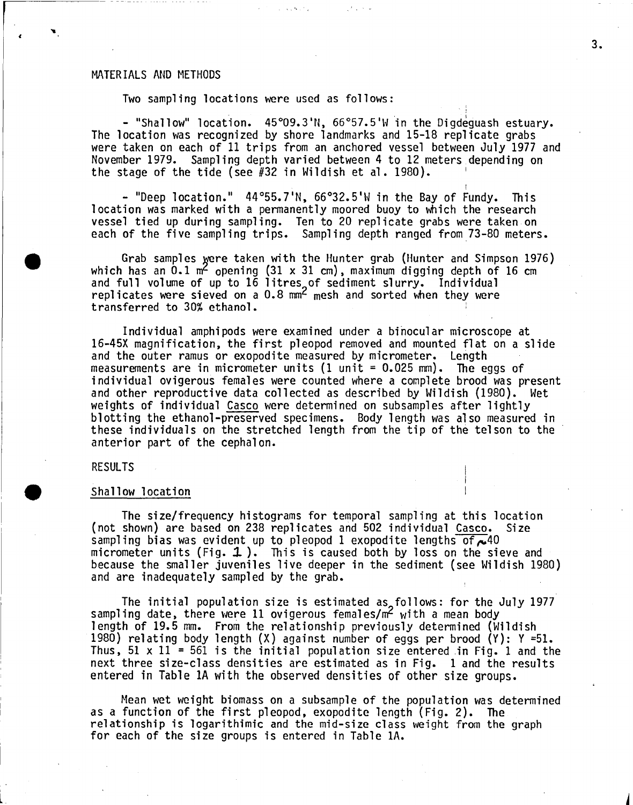## MATERIALS AND METHODS

Two sampling locations were used as follows:

,,'.

- "Shallow" location. 45°09.3'N, 66°57.5'W in the Digdeguash estuary.<br>The location was recognized by shore landmarks and 15-18 replicate grabs were taken on each of 11 trips from an anchored vessel between Ju1y 1977 and November 1979. Samp1ing depth varied between 4 to 12 meters depending on the stage of the tide (see  $#32$  in Wildish et al. 1980).

- "Deep location." 44°55.7'N, 66°32.5'W in the Bay of Fundy. This 10cation was marked with a permanent1y moored buoy to which the research vesse1 tied up during sampling. Ten to 20 rep1icate grabs were taken on each of the five sampling trips. Sampling depth ranged from 73-80 meters.

Grab samples were taken with the Hunter grab (Hunter and Simpson 1976) which has an 0.1  $m<sup>2</sup>$  opening (31 x 31 cm), maximum digging depth of 16 cm and full volume of up to 16 litres of sediment slurry. Individual<br>replicates were sieved on a 0.8 mm<sup>2</sup> mesh and sorted when thev were replicates were sieved on a  $0.8 \text{ mm}^2$  mesh and sorted when they were transferred to 30% ethanol.

Individual amphipods were examined under a binocular microscope at 16-45X magnification, the first pleopod removed and mounted flat on a slide and the outer ramus or exopodite measured by micrometer. Length measurements are in micrometer units (1 unit = 0.025 mm). The eggs of individual ovigerous fema1es were counted where a complete brood was present and other reproductive data co1lected as described by Wi1dish (1980). Wet weights of individual Casco were determined on subsamples after lightly b10tting the ethano1-preserved specimens. Body 1ength was also measured in these individuals on the stretched 1ength from the tip of the telson to the anterior part of the cepha10n.

# RESULTS

#### Shallow location

The size/frequency histograms for temporal sampling at this location<br>shown) are based on 238 replicates and 502 individual Casco. Size (not shown) are based on 238 replicates and 502 individual Casco. sampling bias was evident up to pleopod 1 exopodite lengths of  $\sim$  40 micrometer units (Fig.  $1$ ). This is caused both by loss on the sieve and because the smaller juveniles live deeper in the sediment (see Wi1dish 1980) and are inadequate1y samp1ed by the grab.

The initial population size is estimated as follows: for the July 1977 sampling date, there were 11 ovigerous females/ $m<sup>2</sup>$  with a mean body 1ength of 19.5 mm. From the relationship previously determined (Wildish 1980) re1ating body 1ength (X) against number of eggs per brood (Y): Y =51. Thus, 51 x 11 = 561 is the initial population size entered in Fig. 1 and the next three size-class densities are estimated as in Fig. 1 and the resu1ts entered in Tab1e lA with the observed densities of other size groups.

Mean wet weight biomass on a subsample of the population was determined as a function of the first pleopod, exopodite length (Fig. 2). The relationship is logarithimic and the mid-size class weight from the graph for each of the size groups is entered in Table 1A.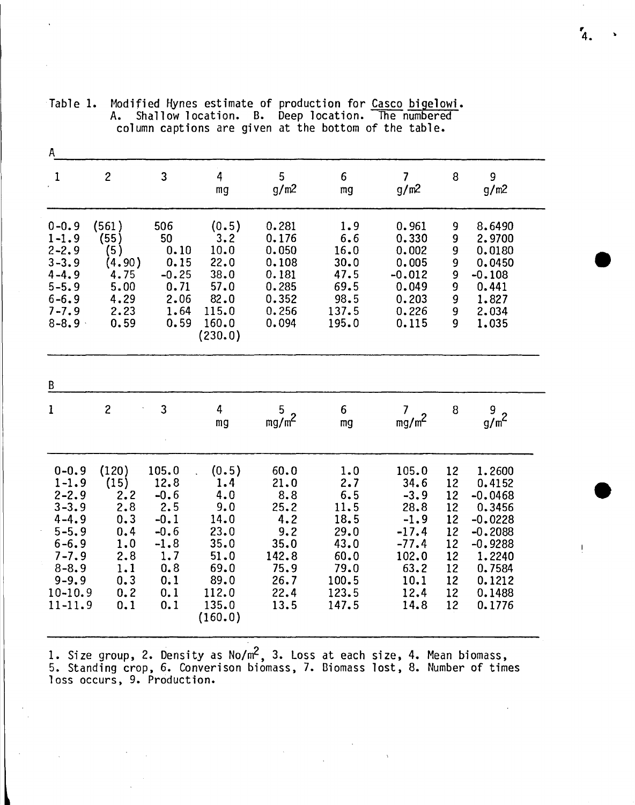| A                                                                                                                                                        |                                                                                     |                                                                                                 |                                                                                                         |                                                                                            |                                                                                              |                                                                                                          |                                                                      |                                                                                                                                  |
|----------------------------------------------------------------------------------------------------------------------------------------------------------|-------------------------------------------------------------------------------------|-------------------------------------------------------------------------------------------------|---------------------------------------------------------------------------------------------------------|--------------------------------------------------------------------------------------------|----------------------------------------------------------------------------------------------|----------------------------------------------------------------------------------------------------------|----------------------------------------------------------------------|----------------------------------------------------------------------------------------------------------------------------------|
| 1                                                                                                                                                        | $\overline{c}$                                                                      | 3                                                                                               | 4<br>mg                                                                                                 | 5<br>g/m <sup>2</sup>                                                                      | 6<br>mg                                                                                      | $\overline{\mathcal{L}}$<br>g/m <sup>2</sup>                                                             | 8                                                                    | 9<br>g/m2                                                                                                                        |
| $0 - 0.9$<br>$1 - 1.9$<br>$2 - 2.9$<br>$3 - 3.9$<br>$4 - 4.9$<br>$5 - 5.9$<br>$6 - 6.9$<br>$7 - 7.9$<br>$8 - 8.9$                                        | (561)<br>(55)<br>(5)<br>(4.90)<br>4.75<br>5.00<br>4.29<br>2.23<br>0.59              | 506<br>50<br>0.10<br>0.15<br>$-0.25$<br>0.71<br>2.06<br>1.64<br>0.59                            | (0.5)<br>3.2<br>10.0<br>22.0<br>38.0<br>57.0<br>82.0<br>115.0<br>160.0<br>(230.0)                       | 0.281<br>0.176<br>0.050<br>0.108<br>0.181<br>0.285<br>0.352<br>0.256<br>0.094              | 1.9<br>6.6<br>16.0<br>30.0<br>47.5<br>69.5<br>98.5<br>137.5<br>195.0                         | 0.961<br>0.330<br>0.002<br>0.005<br>$-0.012$<br>0.049<br>0.203<br>0.226<br>0.115                         | 9<br>9<br>9<br>9<br>9<br>9<br>9<br>9<br>9                            | 8.6490<br>2.9700<br>0.0180<br>0.0450<br>$-0.108$<br>0.441<br>1.827<br>2.034<br>1.035                                             |
| B                                                                                                                                                        |                                                                                     |                                                                                                 |                                                                                                         |                                                                                            |                                                                                              |                                                                                                          |                                                                      |                                                                                                                                  |
| $\mathbf 1$                                                                                                                                              | $\overline{c}$                                                                      | 3                                                                                               | 4<br>mg                                                                                                 | 5<br>$mg/m^2$                                                                              | $\boldsymbol{6}$<br>mg                                                                       | $\overline{7}$<br>$mg/m^2$                                                                               | 8                                                                    | 9<br>$g/m^2$                                                                                                                     |
| $0 - 0.9$<br>$1 - 1.9$<br>$2 - 2.9$<br>$3 - 3.9$<br>$4 - 4.9$<br>$5 - 5.9$<br>$6 - 6.9$<br>$7 - 7.9$<br>$8 - 8.9$<br>$9 - 9.9$<br>$10 - 10.9$<br>11-11.9 | (120)<br>(15)<br>2.2<br>2.8<br>0.3<br>0.4<br>1.0<br>2.8<br>1.1<br>0.3<br>0.2<br>0.1 | 105.0<br>12.8<br>$-0.6$<br>2.5<br>$-0.1$<br>$-0.6$<br>$-1.8$<br>1.7<br>0.8<br>0.1<br>0.1<br>0.1 | (0.5)<br>1.4<br>4.0<br>9.0<br>14.0<br>23.0<br>35.0<br>51.0<br>69.0<br>89.0<br>112.0<br>135.0<br>(160.0) | 60.0<br>21.0<br>8.8<br>25.2<br>4.2<br>9.2<br>35.0<br>142.8<br>75.9<br>26.7<br>22.4<br>13.5 | 1.0<br>2.7<br>6.5<br>11.5<br>18.5<br>29.0<br>43.0<br>60.0<br>79.0<br>100.5<br>123.5<br>147.5 | 105.0<br>34.6<br>$-3.9$<br>28.8<br>$-1.9$<br>$-17.4$<br>$-77.4$<br>102.0<br>63.2<br>10.1<br>12.4<br>14.8 | 12<br>12<br>12<br>12<br>12<br>12<br>12<br>12<br>12<br>12<br>12<br>12 | 1.2600<br>0.4152<br>$-0.0468$<br>0.3456<br>$-0.0228$<br>$-0.2088$<br>$-0.9288$<br>1.2240<br>0.7584<br>0.1212<br>0.1488<br>0.1776 |

Table 1. Modified Hynes estimate of production for Casco bigelowi. A. Shallow location. B. Deep location. The numbered column captions are given at the bottom of the table.

1. Size group, 2. Density as *No/m2,* 3. Loss at each si ze, 4. Mean biomass, 5. Standing crop, 6. Converison biomass, 7. ßiomass lost, 8. Number of times 10ss occurs, 9. Production.

 $\mathcal{A}$ 

r 4.

•

 $\mathbf{I}$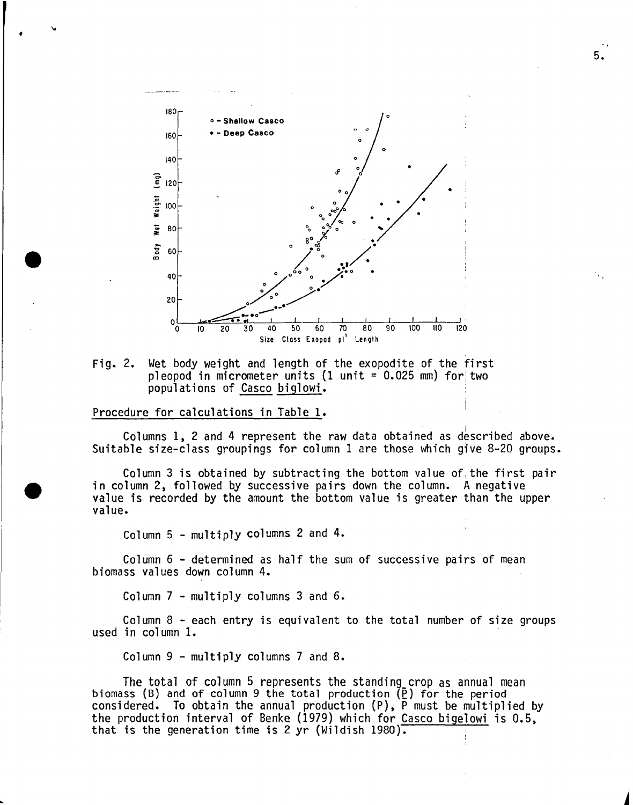

Fig. 2. Wet body weight and length of the exopodite of the first pleopod in micrometer units (1 unit =  $0.025$  mm) for two populations of Casco biglowi.

### Procedure for calculations in Table 1.

, ....

Columns  $1$ ,  $2$  and  $4$  represent the raw data obtained as described above. Suitable size-class groupings for column 1 are those which give 8-20 groups.

Column 3 is obtained by subtracting the bottom value of the first pair in column 2, followed by successive pairs down the column. A negative value is recorded by the amount the bottom value is greater than the upper value.

Column 5 - multiply columns 2 and 4.

Column 6 - determined as half the sum of successive pairs of mean biomass values down column 4.

Column 7 - multiply columns 3 and 6.

Column 8 - each entry is equivalent to the total number of size groups used in column 1.

Column 9 - multiply columns 7 and 8.

The total of column 5 represents the standing crop as annual mean biomass (B) and of column 9 the total production  $(\bar{P})$  for the period considered. To obtain the annual production  $(P)$ , P must be multiplied by the production interval of Benke (1979) which for Casco bigelowi is 0.5, that is the generation time is 2 yr (Wildish 1980).

5.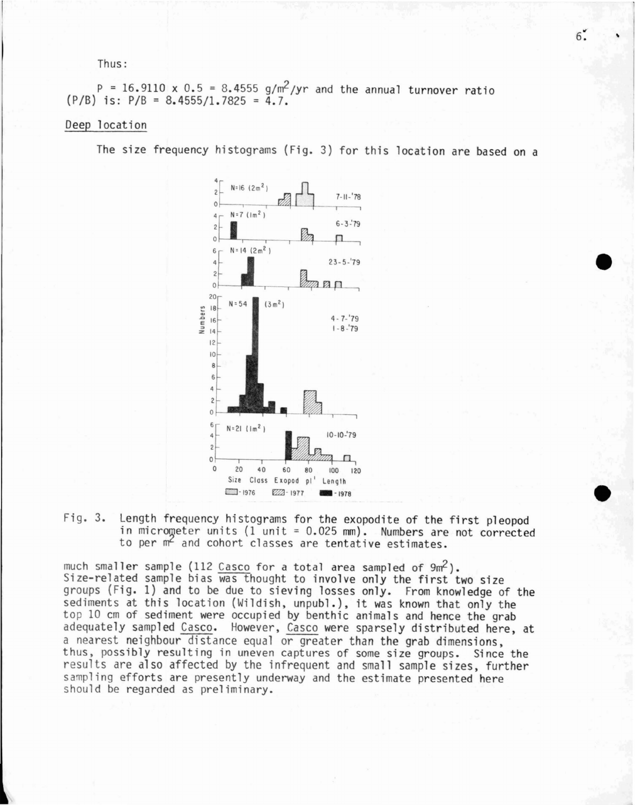Thus:

 $P = 16.9110 \times 0.5 = 8.4555 g/m^2/yr$  and the annual turnover ratio  $(P/B)$  is:  $P/B = 8.4555/1.7825 = 4.7$ .

# Deep location

The size frequency histograms (Fig. 3) for this location are based on a



Fig. 3. Length frequency histograms for the exopodite of the first pleopod in microweter units (1 unit <sup>=</sup> 0.025 mm). Numbers are not corrected to per m<sup>2</sup> and cohort classes are tentative estimates.

much smaller sample (112 Casco for a total area sampled of *9mf).* Size-related sample bias was thought to involve only the first two size groups (Fig. 1) and to be due to sieving losses only. From knowledge of the sediments at this location (Wildish, unpubl.), it was known that only the top 10 cm of sediment were occupied by benthic animals and hence the grab adequately sampled Casco. However, Casco were sparsely distributed here, at a nearest neighbour distance equal or greater than the grab dimensions, thus, possibly resulting in uneven captures of some size groups. Since the results are also affected by the infrequent and small sample sizes, further sampling efforts are presently underway and the estimate presented here should be regarded as preliminary.

 $6\degree$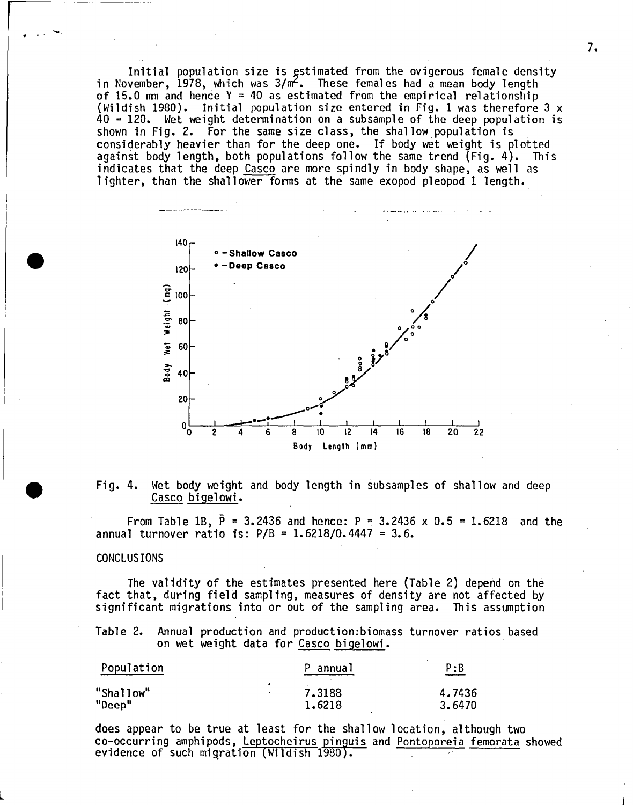Initial population size is estimated from the ovigerous female density<br>in November, 1978, which was  $3/m^2$ . These females had a mean body length<br>of 15.0 mm and hence Y = 40 as estimated from the empirical relationship<br>(Wi 40 <sup>=</sup> 120. Wet weight determination on a subsample of the deep population is shown in Fig. 2. For the same size class, the shallow population is considerably heavier than for the deep one. If body wet weight is plotted against body length, both populations follow the same trend (Fig. 4). This indicates that the deep Casco are more spindly in body shape, as well as lighter, than the shallower forms at the same exopod pleopod 1 length.



Fig. 4. Wet body weight and body length in subsamples of shallow and deep Casco bigelowi.

From Table 1B,  $\bar{P} = 3.2436$  and hence: P = 3.2436 x 0.5 = 1.6218 and the annual turnover ratio is:  $P/B = 1.6218/0.4447 = 3.6$ .

## CONCLUS IONS

L

 $\ddot{\phantom{0}}$ 

The validity of the estimates presented here (Table 2) depend on the fact that, during field sampling, measures of density are not affected by significant migrations into or out of the sampling area. This assumption

Table 2. Annual production and production:biomass turnover ratios based on wet weight data for Casco bigelowi.

| Population |           | P annual | P:B<br>_____ |
|------------|-----------|----------|--------------|
| "Shallow"  | $\bullet$ | 7.3188   | 4.7436       |
| "Deep"     |           | 1.6218   | 3.6470       |

does appear to be true at least for the shallow location, although two co-occurring amphipods, Leptocheirus pinguis and Pontoporeia femorata showed evidence of such migration (Wildish  $1980$ ).

7.

J